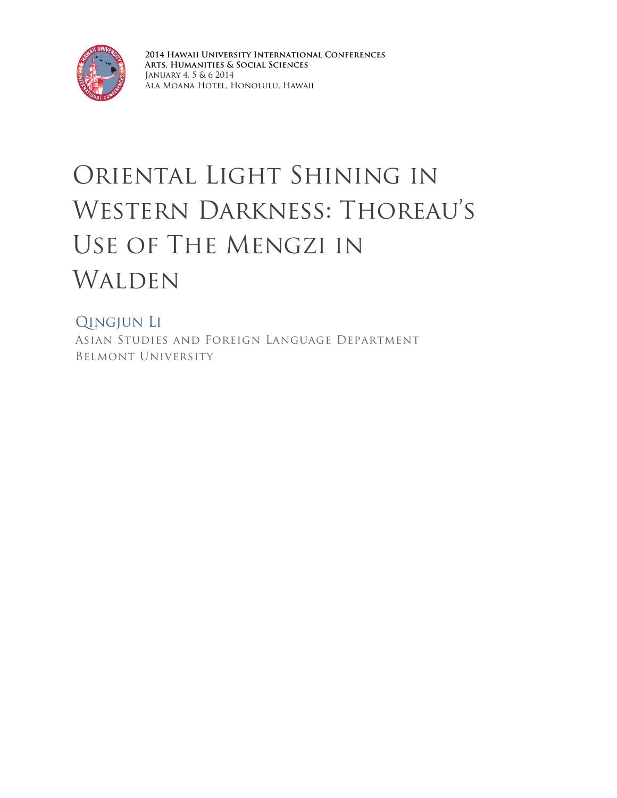

**2014 Hawaii University International Conferences Arts, Humanities & Social Sciences** January 4, 5 & 6 2014 Ala Moana Hotel, Honolulu, Hawaii

## Oriental Light Shining in Western Darkness: Thoreau's Use of The Mengzi in WALDEN

## Qingjun Li

Asian Studies and Foreign Language Department Belmont University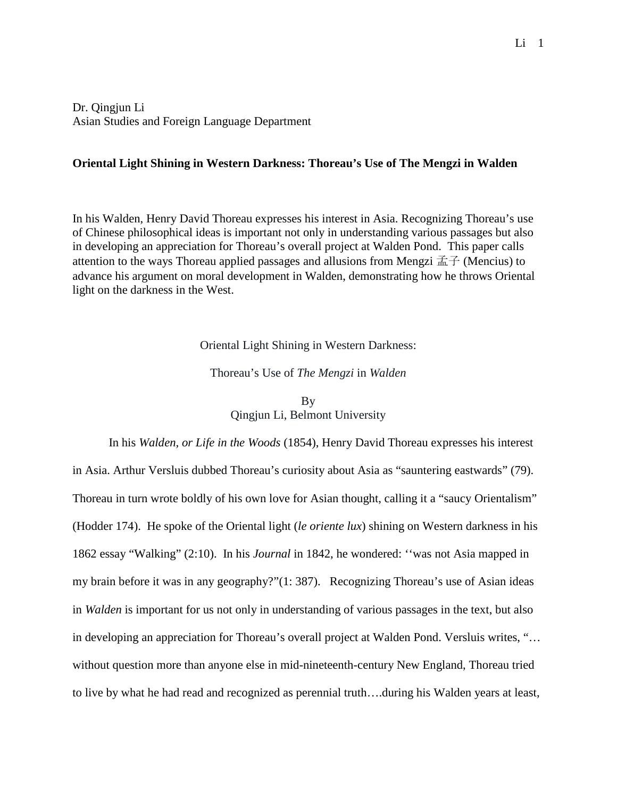Dr. Qingjun Li Asian Studies and Foreign Language Department

## **Oriental Light Shining in Western Darkness: Thoreau's Use of The Mengzi in Walden**

In his Walden, Henry David Thoreau expresses his interest in Asia. Recognizing Thoreau's use of Chinese philosophical ideas is important not only in understanding various passages but also in developing an appreciation for Thoreau's overall project at Walden Pond. This paper calls attention to the ways Thoreau applied passages and allusions from Mengzi  $\vec{\pm}$   $\vec{\pm}$  (Mencius) to advance his argument on moral development in Walden, demonstrating how he throws Oriental light on the darkness in the West.

Oriental Light Shining in Western Darkness:

Thoreau's Use of *The Mengzi* in *Walden* 

**B**<sub>V</sub> Qingjun Li, Belmont University

In his *Walden, or Life in the Woods* (1854), Henry David Thoreau expresses his interest in Asia. Arthur Versluis dubbed Thoreau's curiosity about Asia as "sauntering eastwards" (79). Thoreau in turn wrote boldly of his own love for Asian thought, calling it a "saucy Orientalism" (Hodder 174). He spoke of the Oriental light (*le oriente lux*) shining on Western darkness in his 1862 essay "Walking" (2:10). In his *Journal* in 1842, he wondered: ''was not Asia mapped in my brain before it was in any geography?"(1: 387). Recognizing Thoreau's use of Asian ideas in *Walden* is important for us not only in understanding of various passages in the text, but also in developing an appreciation for Thoreau's overall project at Walden Pond. Versluis writes, "… without question more than anyone else in mid-nineteenth-century New England, Thoreau tried to live by what he had read and recognized as perennial truth....during his Walden years at least,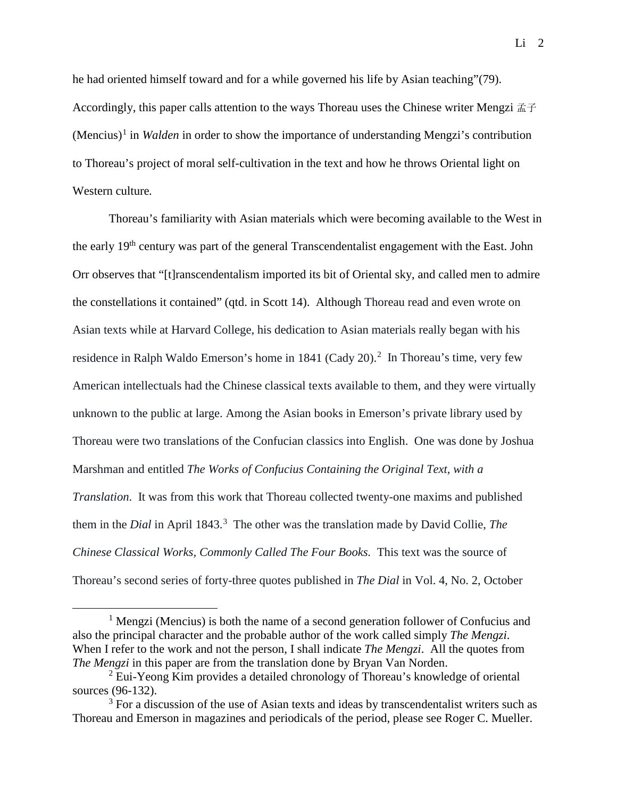he had oriented himself toward and for a while governed his life by Asian teaching"(79). Accordingly, this paper calls attention to the ways Thoreau uses the Chinese writer Mengzi 孟子 (Mencius)[1](#page-2-0) in *Walden* in order to show the importance of understanding Mengzi's contribution to Thoreau's project of moral self-cultivation in the text and how he throws Oriental light on Western culture*.* 

Thoreau's familiarity with Asian materials which were becoming available to the West in the early 19th century was part of the general Transcendentalist engagement with the East. John Orr observes that "[t]ranscendentalism imported its bit of Oriental sky, and called men to admire the constellations it contained" (qtd. in Scott 14). Although Thoreau read and even wrote on Asian texts while at Harvard College, his dedication to Asian materials really began with his residence in Ralph Waldo Emerson's home in 1841 (Cady [2](#page-2-1)0).<sup>2</sup> In Thoreau's time, very few American intellectuals had the Chinese classical texts available to them, and they were virtually unknown to the public at large. Among the Asian books in Emerson's private library used by Thoreau were two translations of the Confucian classics into English. One was done by Joshua Marshman and entitled *The Works of Confucius Containing the Original Text, with a Translation*. It was from this work that Thoreau collected twenty-one maxims and published them in the *Dial* in April 184[3](#page-2-2).<sup>3</sup> The other was the translation made by David Collie, *The Chinese Classical Works, Commonly Called The Four Books.* This text was the source of Thoreau's second series of forty-three quotes published in *The Dial* in Vol. 4, No. 2, October

<span id="page-2-0"></span><sup>&</sup>lt;sup>1</sup> Mengzi (Mencius) is both the name of a second generation follower of Confucius and also the principal character and the probable author of the work called simply *The Mengzi*. When I refer to the work and not the person, I shall indicate *The Mengzi*. All the quotes from *The Mengzi* in this paper are from the translation done by Bryan Van Norden.

<span id="page-2-1"></span><sup>&</sup>lt;sup>2</sup> Eui-Yeong Kim provides a detailed chronology of Thoreau's knowledge of oriental sources (96-132).

<span id="page-2-2"></span> $3$  For a discussion of the use of Asian texts and ideas by transcendentalist writers such as Thoreau and Emerson in magazines and periodicals of the period, please see Roger C. Mueller.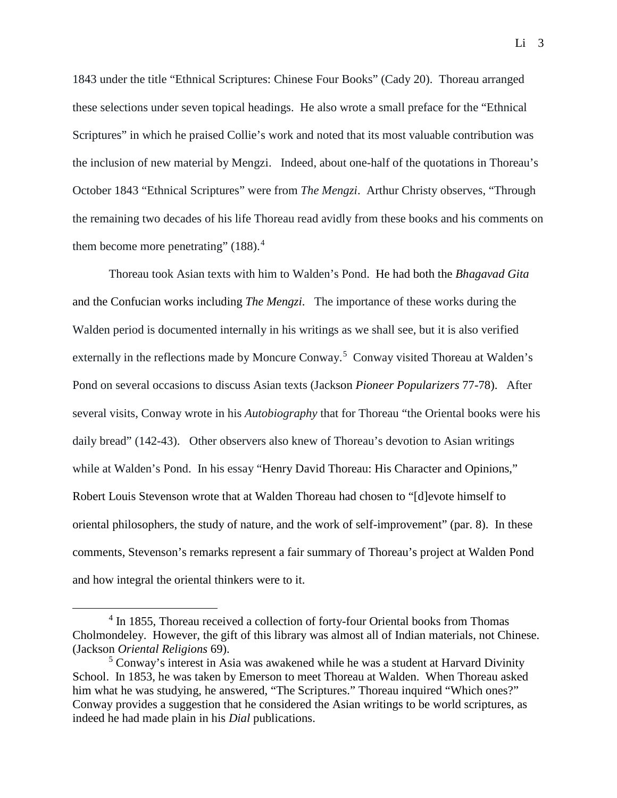1843 under the title "Ethnical Scriptures: Chinese Four Books" (Cady 20). Thoreau arranged these selections under seven topical headings. He also wrote a small preface for the "Ethnical Scriptures" in which he praised Collie's work and noted that its most valuable contribution was the inclusion of new material by Mengzi. Indeed, about one-half of the quotations in Thoreau's October 1843 "Ethnical Scriptures" were from *The Mengzi*. Arthur Christy observes, "Through the remaining two decades of his life Thoreau read avidly from these books and his comments on them become more penetrating"  $(188).<sup>4</sup>$  $(188).<sup>4</sup>$  $(188).<sup>4</sup>$ 

Thoreau took Asian texts with him to Walden's Pond. He had both the *Bhagavad Gita* and the Confucian works including *The Mengzi*. The importance of these works during the Walden period is documented internally in his writings as we shall see, but it is also verified externally in the reflections made by Moncure Conway.<sup>[5](#page-3-1)</sup> Conway visited Thoreau at Walden's Pond on several occasions to discuss Asian texts (Jackson *Pioneer Popularizers* 77-78). After several visits, Conway wrote in his *Autobiography* that for Thoreau "the Oriental books were his daily bread" (142-43). Other observers also knew of Thoreau's devotion to Asian writings while at Walden's Pond. In his essay "Henry David Thoreau: His Character and Opinions," Robert Louis Stevenson wrote that at Walden Thoreau had chosen to "[d]evote himself to oriental philosophers, the study of nature, and the work of self-improvement" (par. 8). In these comments, Stevenson's remarks represent a fair summary of Thoreau's project at Walden Pond and how integral the oriental thinkers were to it.

<span id="page-3-0"></span><sup>&</sup>lt;sup>4</sup> In 1855, Thoreau received a collection of forty-four Oriental books from Thomas Cholmondeley. However, the gift of this library was almost all of Indian materials, not Chinese. (Jackson *Oriental Religions* 69).

<span id="page-3-1"></span><sup>5</sup> Conway's interest in Asia was awakened while he was a student at Harvard Divinity School. In 1853, he was taken by Emerson to meet Thoreau at Walden. When Thoreau asked him what he was studying, he answered, "The Scriptures." Thoreau inquired "Which ones?" Conway provides a suggestion that he considered the Asian writings to be world scriptures, as indeed he had made plain in his *Dial* publications.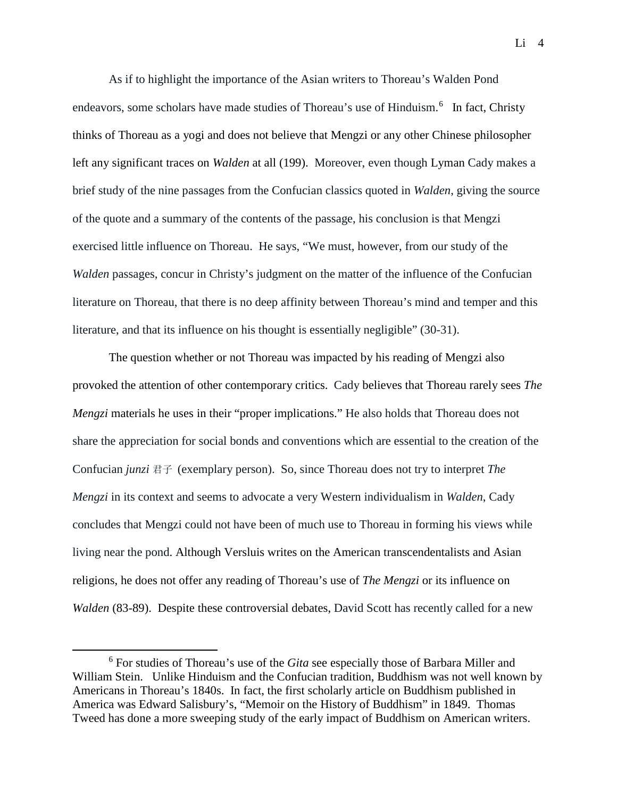As if to highlight the importance of the Asian writers to Thoreau's Walden Pond endeavors, some scholars have made studies of Thoreau's use of Hinduism.<sup>[6](#page-4-0)</sup> In fact, Christy thinks of Thoreau as a yogi and does not believe that Mengzi or any other Chinese philosopher left any significant traces on *Walden* at all (199). Moreover, even though Lyman Cady makes a brief study of the nine passages from the Confucian classics quoted in *Walden*, giving the source of the quote and a summary of the contents of the passage, his conclusion is that Mengzi exercised little influence on Thoreau. He says, "We must, however, from our study of the *Walden passages, concur in Christy's judgment on the matter of the influence of the Confucian* literature on Thoreau, that there is no deep affinity between Thoreau's mind and temper and this literature, and that its influence on his thought is essentially negligible" (30-31).

The question whether or not Thoreau was impacted by his reading of Mengzi also provoked the attention of other contemporary critics. Cady believes that Thoreau rarely sees *The Mengzi* materials he uses in their "proper implications." He also holds that Thoreau does not share the appreciation for social bonds and conventions which are essential to the creation of the Confucian *junzi* 君子 (exemplary person). So, since Thoreau does not try to interpret *The Mengzi* in its context and seems to advocate a very Western individualism in *Walden*, Cady concludes that Mengzi could not have been of much use to Thoreau in forming his views while living near the pond. Although Versluis writes on the American transcendentalists and Asian religions, he does not offer any reading of Thoreau's use of *The Mengzi* or its influence on *Walden* (83-89). Despite these controversial debates, David Scott has recently called for a new

<span id="page-4-0"></span><sup>6</sup> For studies of Thoreau's use of the *Gita* see especially those of Barbara Miller and William Stein. Unlike Hinduism and the Confucian tradition, Buddhism was not well known by Americans in Thoreau's 1840s. In fact, the first scholarly article on Buddhism published in America was Edward Salisbury's, "Memoir on the History of Buddhism" in 1849. Thomas Tweed has done a more sweeping study of the early impact of Buddhism on American writers.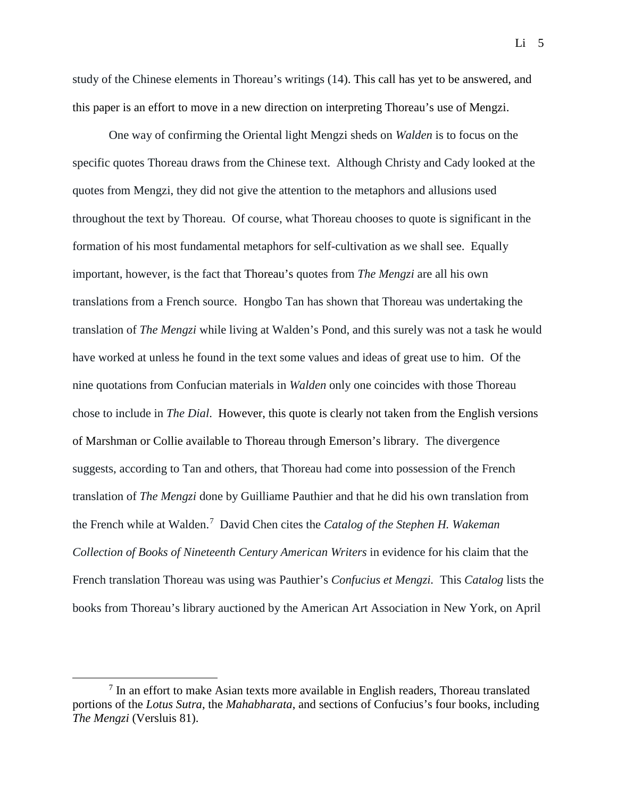study of the Chinese elements in Thoreau's writings (14). This call has yet to be answered, and this paper is an effort to move in a new direction on interpreting Thoreau's use of Mengzi.

One way of confirming the Oriental light Mengzi sheds on *Walden* is to focus on the specific quotes Thoreau draws from the Chinese text. Although Christy and Cady looked at the quotes from Mengzi, they did not give the attention to the metaphors and allusions used throughout the text by Thoreau. Of course, what Thoreau chooses to quote is significant in the formation of his most fundamental metaphors for self-cultivation as we shall see. Equally important, however, is the fact that Thoreau's quotes from *The Mengzi* are all his own translations from a French source. Hongbo Tan has shown that Thoreau was undertaking the translation of *The Mengzi* while living at Walden's Pond, and this surely was not a task he would have worked at unless he found in the text some values and ideas of great use to him. Of the nine quotations from Confucian materials in *Walden* only one coincides with those Thoreau chose to include in *The Dial*. However, this quote is clearly not taken from the English versions of Marshman or Collie available to Thoreau through Emerson's library. The divergence suggests, according to Tan and others, that Thoreau had come into possession of the French translation of *The Mengzi* done by Guilliame Pauthier and that he did his own translation from the French while at Walden.[7](#page-5-0) David Chen cites the *Catalog of the Stephen H. Wakeman Collection of Books of Nineteenth Century American Writers* in evidence for his claim that the French translation Thoreau was using was Pauthier's *Confucius et Mengzi.* This *Catalog* lists the books from Thoreau's library auctioned by the American Art Association in New York, on April

<span id="page-5-0"></span> $<sup>7</sup>$  In an effort to make Asian texts more available in English readers, Thoreau translated</sup> portions of the *Lotus Sutra*, the *Mahabharata*, and sections of Confucius's four books, including *The Mengzi* (Versluis 81).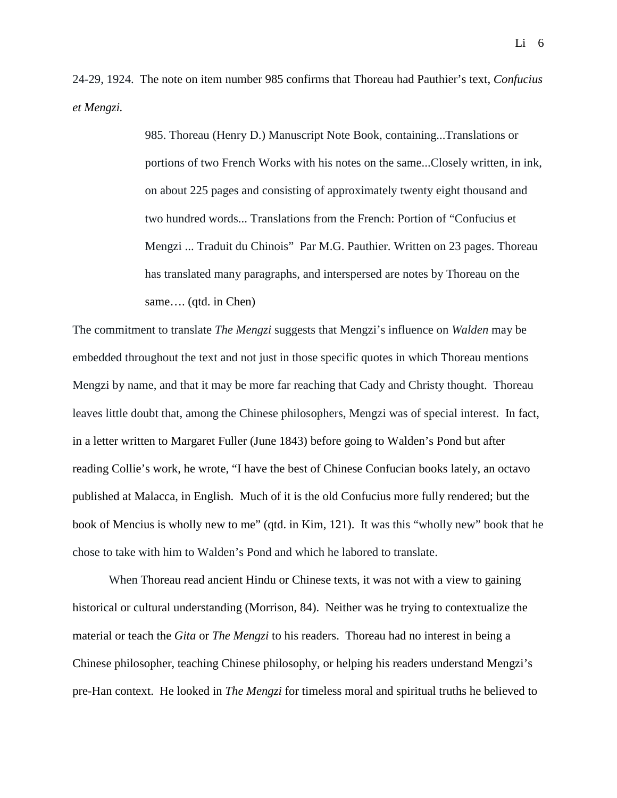24-29, 1924. The note on item number 985 confirms that Thoreau had Pauthier's text, *Confucius et Mengzi.* 

> 985. Thoreau (Henry D.) Manuscript Note Book, containing...Translations or portions of two French Works with his notes on the same...Closely written, in ink, on about 225 pages and consisting of approximately twenty eight thousand and two hundred words... Translations from the French: Portion of "Confucius et Mengzi ... Traduit du Chinois" Par M.G. Pauthier. Written on 23 pages. Thoreau has translated many paragraphs, and interspersed are notes by Thoreau on the same…. (qtd. in Chen)

The commitment to translate *The Mengzi* suggests that Mengzi's influence on *Walden* may be embedded throughout the text and not just in those specific quotes in which Thoreau mentions Mengzi by name, and that it may be more far reaching that Cady and Christy thought. Thoreau leaves little doubt that, among the Chinese philosophers, Mengzi was of special interest. In fact, in a letter written to Margaret Fuller (June 1843) before going to Walden's Pond but after reading Collie's work, he wrote, "I have the best of Chinese Confucian books lately, an octavo published at Malacca, in English. Much of it is the old Confucius more fully rendered; but the book of Mencius is wholly new to me" (qtd. in Kim, 121). It was this "wholly new" book that he chose to take with him to Walden's Pond and which he labored to translate.

When Thoreau read ancient Hindu or Chinese texts, it was not with a view to gaining historical or cultural understanding (Morrison, 84). Neither was he trying to contextualize the material or teach the *Gita* or *The Mengzi* to his readers. Thoreau had no interest in being a Chinese philosopher, teaching Chinese philosophy, or helping his readers understand Mengzi's pre-Han context. He looked in *The Mengzi* for timeless moral and spiritual truths he believed to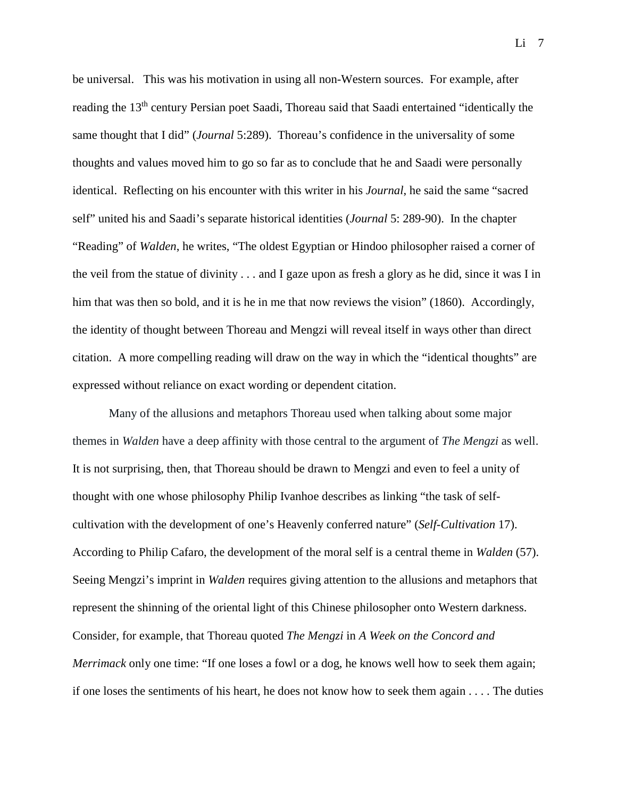be universal. This was his motivation in using all non-Western sources. For example, after reading the 13<sup>th</sup> century Persian poet Saadi, Thoreau said that Saadi entertained "identically the same thought that I did" (*Journal* 5:289). Thoreau's confidence in the universality of some thoughts and values moved him to go so far as to conclude that he and Saadi were personally identical. Reflecting on his encounter with this writer in his *Journal*, he said the same "sacred self" united his and Saadi's separate historical identities (*Journal* 5: 289-90). In the chapter "Reading" of *Walden*, he writes, "The oldest Egyptian or Hindoo philosopher raised a corner of the veil from the statue of divinity . . . and I gaze upon as fresh a glory as he did, since it was I in him that was then so bold, and it is he in me that now reviews the vision" (1860).Accordingly, the identity of thought between Thoreau and Mengzi will reveal itself in ways other than direct citation. A more compelling reading will draw on the way in which the "identical thoughts" are expressed without reliance on exact wording or dependent citation.

Many of the allusions and metaphors Thoreau used when talking about some major themes in *Walden* have a deep affinity with those central to the argument of *The Mengzi* as well. It is not surprising, then, that Thoreau should be drawn to Mengzi and even to feel a unity of thought with one whose philosophy Philip Ivanhoe describes as linking "the task of selfcultivation with the development of one's Heavenly conferred nature" (*Self-Cultivation* 17). According to Philip Cafaro, the development of the moral self is a central theme in *Walden* (57). Seeing Mengzi's imprint in *Walden* requires giving attention to the allusions and metaphors that represent the shinning of the oriental light of this Chinese philosopher onto Western darkness. Consider, for example, that Thoreau quoted *The Mengzi* in *A Week on the Concord and Merrimack* only one time: "If one loses a fowl or a dog, he knows well how to seek them again; if one loses the sentiments of his heart, he does not know how to seek them again . . . . The duties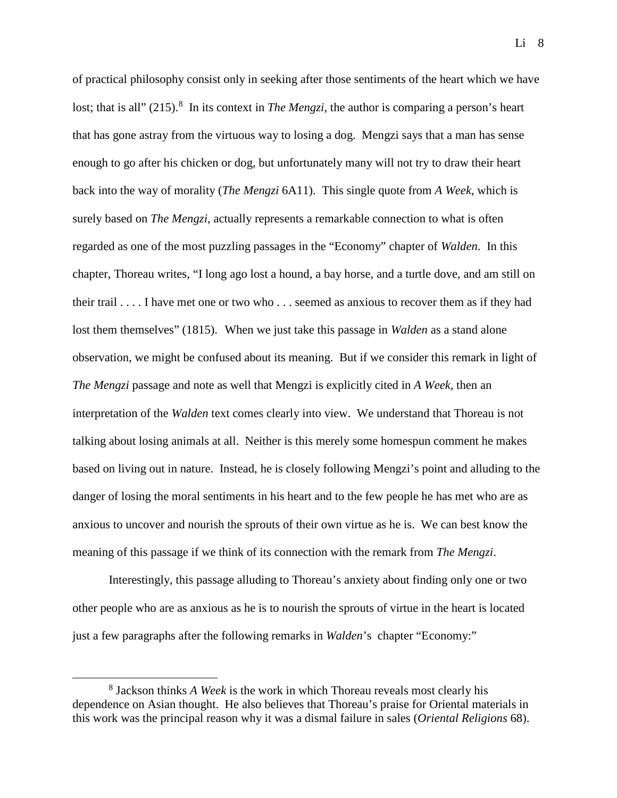of practical philosophy consist only in seeking after those sentiments of the heart which we have lost; that is all" (215).<sup>[8](#page-8-0)</sup> In its context in *The Mengzi*, the author is comparing a person's heart that has gone astray from the virtuous way to losing a dog. Mengzi says that a man has sense enough to go after his chicken or dog, but unfortunately many will not try to draw their heart back into the way of morality (*The Mengzi* 6A11). This single quote from *A Week*, which is surely based on *The Mengzi*, actually represents a remarkable connection to what is often regarded as one of the most puzzling passages in the "Economy" chapter of *Walden*. In this chapter, Thoreau writes, "I long ago lost a hound, a bay horse, and a turtle dove, and am still on their trail . . . . I have met one or two who . . . seemed as anxious to recover them as if they had lost them themselves" (1815). When we just take this passage in *Walden* as a stand alone observation, we might be confused about its meaning. But if we consider this remark in light of *The Mengzi* passage and note as well that Mengzi is explicitly cited in *A Week,* then an interpretation of the *Walden* text comes clearly into view. We understand that Thoreau is not talking about losing animals at all. Neither is this merely some homespun comment he makes based on living out in nature. Instead, he is closely following Mengzi's point and alluding to the danger of losing the moral sentiments in his heart and to the few people he has met who are as anxious to uncover and nourish the sprouts of their own virtue as he is. We can best know the meaning of this passage if we think of its connection with the remark from *The Mengzi*.

Interestingly, this passage alluding to Thoreau's anxiety about finding only one or two other people who are as anxious as he is to nourish the sprouts of virtue in the heart is located just a few paragraphs after the following remarks in *Walden*'s chapter "Economy:"

<span id="page-8-0"></span><sup>8</sup> Jackson thinks *A Week* is the work in which Thoreau reveals most clearly his dependence on Asian thought. He also believes that Thoreau's praise for Oriental materials in this work was the principal reason why it was a dismal failure in sales (*Oriental Religions* 68).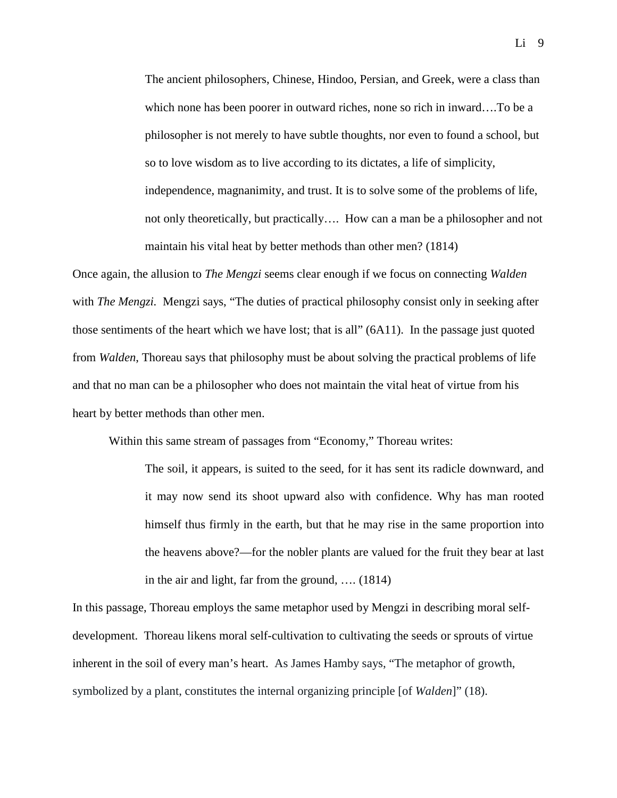The ancient philosophers, Chinese, Hindoo, Persian, and Greek, were a class than which none has been poorer in outward riches, none so rich in inward….To be a philosopher is not merely to have subtle thoughts, nor even to found a school, but so to love wisdom as to live according to its dictates, a life of simplicity, independence, magnanimity, and trust. It is to solve some of the problems of life, not only theoretically, but practically…. How can a man be a philosopher and not maintain his vital heat by better methods than other men? (1814)

Once again, the allusion to *The Mengzi* seems clear enough if we focus on connecting *Walden*  with *The Mengzi.* Mengzi says, "The duties of practical philosophy consist only in seeking after those sentiments of the heart which we have lost; that is all" (6A11). In the passage just quoted from *Walden*, Thoreau says that philosophy must be about solving the practical problems of life and that no man can be a philosopher who does not maintain the vital heat of virtue from his heart by better methods than other men.

Within this same stream of passages from "Economy," Thoreau writes:

The soil, it appears, is suited to the seed, for it has sent its radicle downward, and it may now send its shoot upward also with confidence. Why has man rooted himself thus firmly in the earth, but that he may rise in the same proportion into the heavens above?—for the nobler plants are valued for the fruit they bear at last in the air and light, far from the ground, …. (1814)

In this passage, Thoreau employs the same metaphor used by Mengzi in describing moral selfdevelopment. Thoreau likens moral self-cultivation to cultivating the seeds or sprouts of virtue inherent in the soil of every man's heart. As James Hamby says, "The metaphor of growth, symbolized by a plant, constitutes the internal organizing principle [of *Walden*]" (18).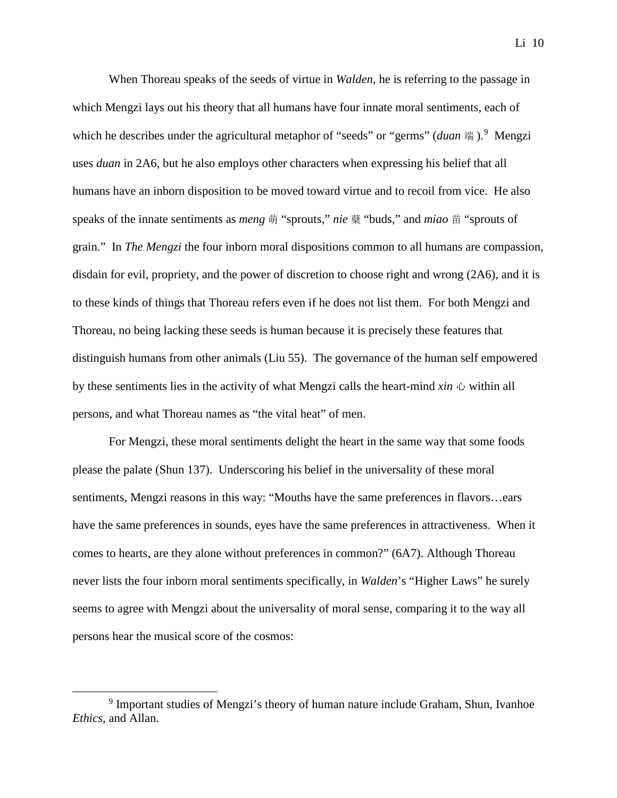When Thoreau speaks of the seeds of virtue in *Walden*, he is referring to the passage in which Mengzi lays out his theory that all humans have four innate moral sentiments, each of which he describes under the agricultural metaphor of "seeds" or "germs" (*duan* 端).<sup>[9](#page-10-0)</sup> Mengzi uses *duan* in 2A6, but he also employs other characters when expressing his belief that all humans have an inborn disposition to be moved toward virtue and to recoil from vice. He also speaks of the innate sentiments as *meng* 萌 "sprouts," *nie* 蘗 "buds," and *miao* 苗 "sprouts of grain." In *The Mengzi* the four inborn moral dispositions common to all humans are compassion, disdain for evil, propriety, and the power of discretion to choose right and wrong (2A6), and it is to these kinds of things that Thoreau refers even if he does not list them. For both Mengzi and Thoreau, no being lacking these seeds is human because it is precisely these features that distinguish humans from other animals (Liu 55). The governance of the human self empowered by these sentiments lies in the activity of what Mengzi calls the heart-mind *xin* 心 within all persons, and what Thoreau names as "the vital heat" of men.

For Mengzi, these moral sentiments delight the heart in the same way that some foods please the palate (Shun 137). Underscoring his belief in the universality of these moral sentiments, Mengzi reasons in this way: "Mouths have the same preferences in flavors…ears have the same preferences in sounds, eyes have the same preferences in attractiveness. When it comes to hearts, are they alone without preferences in common?" (6A7). Although Thoreau never lists the four inborn moral sentiments specifically, in *Walden*'s "Higher Laws" he surely seems to agree with Mengzi about the universality of moral sense, comparing it to the way all persons hear the musical score of the cosmos:

<span id="page-10-0"></span><sup>9</sup> Important studies of Mengzi's theory of human nature include Graham, Shun, Ivanhoe *Ethics*, and Allan.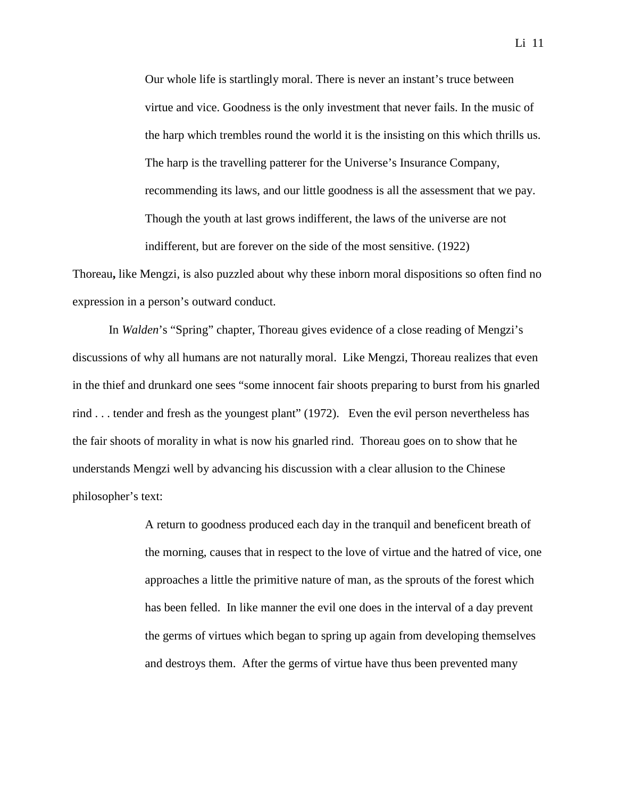Our whole life is startlingly moral. There is never an instant's truce between virtue and vice. Goodness is the only investment that never fails. In the music of the harp which trembles round the world it is the insisting on this which thrills us. The harp is the travelling patterer for the Universe's Insurance Company, recommending its laws, and our little goodness is all the assessment that we pay. Though the youth at last grows indifferent, the laws of the universe are not indifferent, but are forever on the side of the most sensitive. (1922)

Thoreau**,** like Mengzi, is also puzzled about why these inborn moral dispositions so often find no expression in a person's outward conduct.

In *Walden*'s "Spring" chapter, Thoreau gives evidence of a close reading of Mengzi's discussions of why all humans are not naturally moral. Like Mengzi, Thoreau realizes that even in the thief and drunkard one sees "some innocent fair shoots preparing to burst from his gnarled rind . . . tender and fresh as the youngest plant" (1972). Even the evil person nevertheless has the fair shoots of morality in what is now his gnarled rind. Thoreau goes on to show that he understands Mengzi well by advancing his discussion with a clear allusion to the Chinese philosopher's text:

> A return to goodness produced each day in the tranquil and beneficent breath of the morning, causes that in respect to the love of virtue and the hatred of vice, one approaches a little the primitive nature of man, as the sprouts of the forest which has been felled. In like manner the evil one does in the interval of a day prevent the germs of virtues which began to spring up again from developing themselves and destroys them. After the germs of virtue have thus been prevented many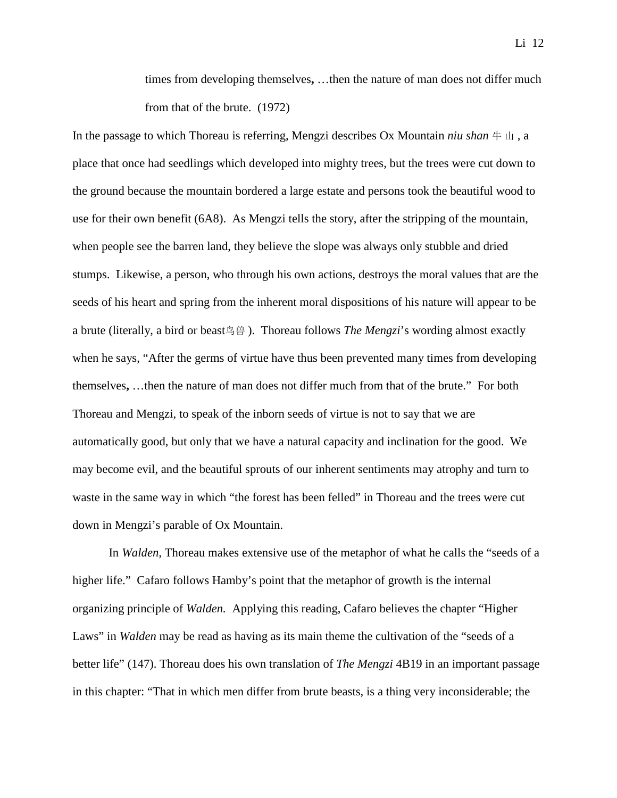times from developing themselves**,** …then the nature of man does not differ much from that of the brute. (1972)

In the passage to which Thoreau is referring, Mengzi describes Ox Mountain *niu shan* 牛 山 , a place that once had seedlings which developed into mighty trees, but the trees were cut down to the ground because the mountain bordered a large estate and persons took the beautiful wood to use for their own benefit (6A8). As Mengzi tells the story, after the stripping of the mountain, when people see the barren land, they believe the slope was always only stubble and dried stumps. Likewise, a person, who through his own actions, destroys the moral values that are the seeds of his heart and spring from the inherent moral dispositions of his nature will appear to be a brute (literally, a bird or beast鸟兽 ). Thoreau follows *The Mengzi*'s wording almost exactly when he says, "After the germs of virtue have thus been prevented many times from developing themselves**,** …then the nature of man does not differ much from that of the brute." For both Thoreau and Mengzi, to speak of the inborn seeds of virtue is not to say that we are automatically good, but only that we have a natural capacity and inclination for the good. We may become evil, and the beautiful sprouts of our inherent sentiments may atrophy and turn to waste in the same way in which "the forest has been felled" in Thoreau and the trees were cut down in Mengzi's parable of Ox Mountain.

In *Walden,* Thoreau makes extensive use of the metaphor of what he calls the "seeds of a higher life." Cafaro follows Hamby's point that the metaphor of growth is the internal organizing principle of *Walden.* Applying this reading, Cafaro believes the chapter "Higher Laws" in *Walden* may be read as having as its main theme the cultivation of the "seeds of a better life" (147). Thoreau does his own translation of *The Mengzi* 4B19 in an important passage in this chapter: "That in which men differ from brute beasts, is a thing very inconsiderable; the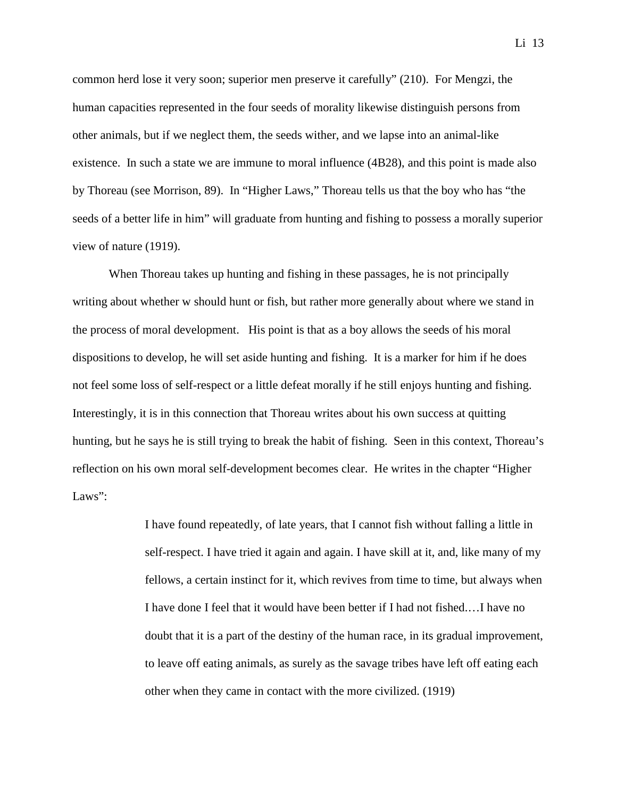common herd lose it very soon; superior men preserve it carefully" (210). For Mengzi, the human capacities represented in the four seeds of morality likewise distinguish persons from other animals, but if we neglect them, the seeds wither, and we lapse into an animal-like existence. In such a state we are immune to moral influence (4B28), and this point is made also by Thoreau (see Morrison, 89). In "Higher Laws," Thoreau tells us that the boy who has "the seeds of a better life in him" will graduate from hunting and fishing to possess a morally superior view of nature (1919).

When Thoreau takes up hunting and fishing in these passages, he is not principally writing about whether w should hunt or fish, but rather more generally about where we stand in the process of moral development. His point is that as a boy allows the seeds of his moral dispositions to develop, he will set aside hunting and fishing. It is a marker for him if he does not feel some loss of self-respect or a little defeat morally if he still enjoys hunting and fishing. Interestingly, it is in this connection that Thoreau writes about his own success at quitting hunting, but he says he is still trying to break the habit of fishing. Seen in this context, Thoreau's reflection on his own moral self-development becomes clear. He writes in the chapter "Higher Laws":

> I have found repeatedly, of late years, that I cannot fish without falling a little in self-respect. I have tried it again and again. I have skill at it, and, like many of my fellows, a certain instinct for it, which revives from time to time, but always when I have done I feel that it would have been better if I had not fished.…I have no doubt that it is a part of the destiny of the human race, in its gradual improvement, to leave off eating animals, as surely as the savage tribes have left off eating each other when they came in contact with the more civilized. (1919)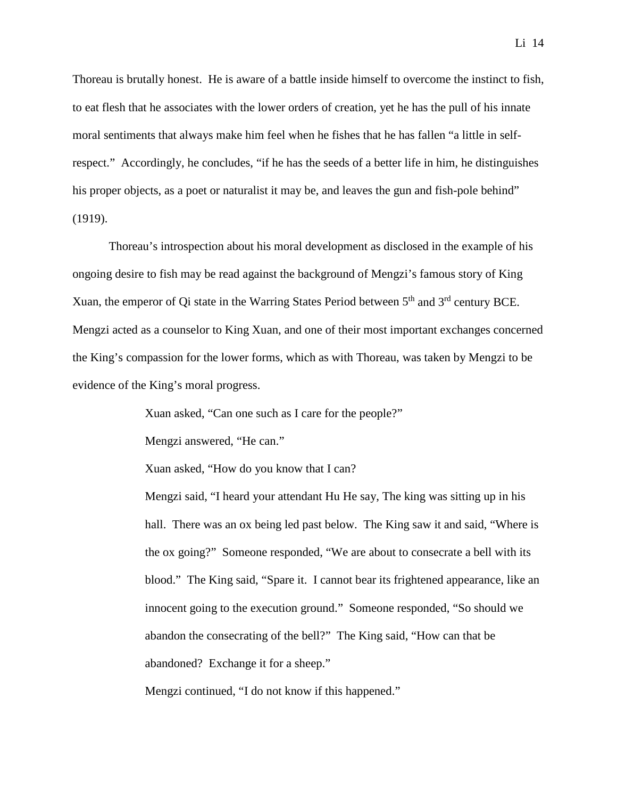Thoreau is brutally honest. He is aware of a battle inside himself to overcome the instinct to fish, to eat flesh that he associates with the lower orders of creation, yet he has the pull of his innate moral sentiments that always make him feel when he fishes that he has fallen "a little in selfrespect." Accordingly, he concludes, "if he has the seeds of a better life in him, he distinguishes his proper objects, as a poet or naturalist it may be, and leaves the gun and fish-pole behind" (1919).

Thoreau's introspection about his moral development as disclosed in the example of his ongoing desire to fish may be read against the background of Mengzi's famous story of King Xuan, the emperor of Qi state in the Warring States Period between  $5<sup>th</sup>$  and  $3<sup>rd</sup>$  century BCE. Mengzi acted as a counselor to King Xuan, and one of their most important exchanges concerned the King's compassion for the lower forms, which as with Thoreau, was taken by Mengzi to be evidence of the King's moral progress.

Xuan asked, "Can one such as I care for the people?"

Mengzi answered, "He can."

Xuan asked, "How do you know that I can?

Mengzi said, "I heard your attendant Hu He say, The king was sitting up in his hall. There was an ox being led past below. The King saw it and said, "Where is the ox going?" Someone responded, "We are about to consecrate a bell with its blood." The King said, "Spare it. I cannot bear its frightened appearance, like an innocent going to the execution ground." Someone responded, "So should we abandon the consecrating of the bell?" The King said, "How can that be abandoned? Exchange it for a sheep."

Mengzi continued, "I do not know if this happened."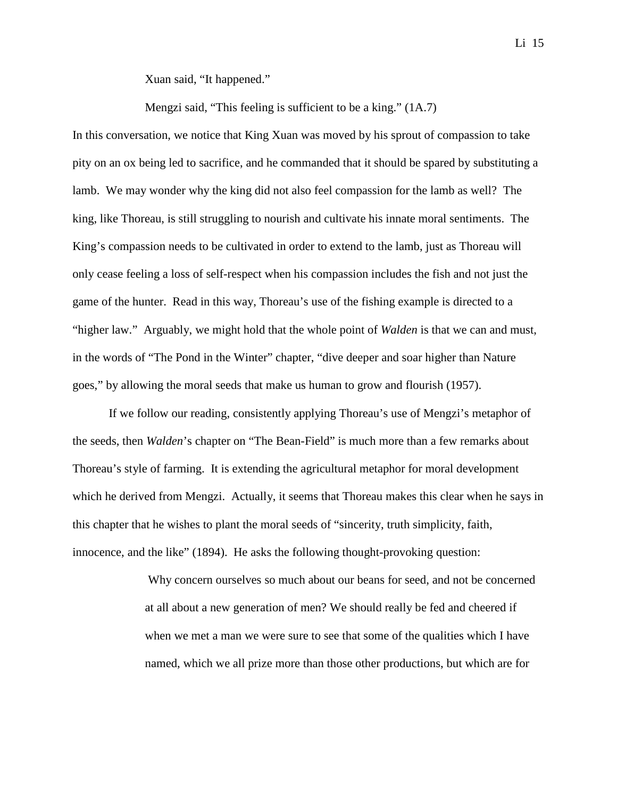Xuan said, "It happened."

Mengzi said, "This feeling is sufficient to be a king." (1A.7)

In this conversation, we notice that King Xuan was moved by his sprout of compassion to take pity on an ox being led to sacrifice, and he commanded that it should be spared by substituting a lamb. We may wonder why the king did not also feel compassion for the lamb as well? The king, like Thoreau, is still struggling to nourish and cultivate his innate moral sentiments. The King's compassion needs to be cultivated in order to extend to the lamb, just as Thoreau will only cease feeling a loss of self-respect when his compassion includes the fish and not just the game of the hunter. Read in this way, Thoreau's use of the fishing example is directed to a "higher law." Arguably, we might hold that the whole point of *Walden* is that we can and must, in the words of "The Pond in the Winter" chapter, "dive deeper and soar higher than Nature goes," by allowing the moral seeds that make us human to grow and flourish (1957).

If we follow our reading, consistently applying Thoreau's use of Mengzi's metaphor of the seeds, then *Walden*'s chapter on "The Bean-Field" is much more than a few remarks about Thoreau's style of farming. It is extending the agricultural metaphor for moral development which he derived from Mengzi. Actually, it seems that Thoreau makes this clear when he says in this chapter that he wishes to plant the moral seeds of "sincerity, truth simplicity, faith, innocence, and the like" (1894). He asks the following thought-provoking question:

> Why concern ourselves so much about our beans for seed, and not be concerned at all about a new generation of men? We should really be fed and cheered if when we met a man we were sure to see that some of the qualities which I have named, which we all prize more than those other productions, but which are for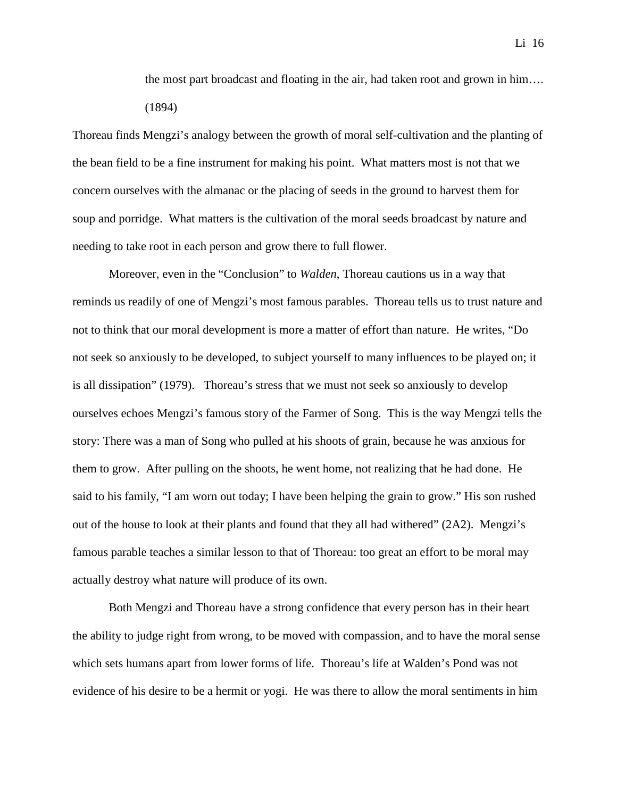the most part broadcast and floating in the air, had taken root and grown in him…. (1894)

Thoreau finds Mengzi's analogy between the growth of moral self-cultivation and the planting of the bean field to be a fine instrument for making his point. What matters most is not that we concern ourselves with the almanac or the placing of seeds in the ground to harvest them for soup and porridge. What matters is the cultivation of the moral seeds broadcast by nature and needing to take root in each person and grow there to full flower.

Moreover, even in the "Conclusion" to *Walden*, Thoreau cautions us in a way that reminds us readily of one of Mengzi's most famous parables. Thoreau tells us to trust nature and not to think that our moral development is more a matter of effort than nature. He writes, "Do not seek so anxiously to be developed, to subject yourself to many influences to be played on; it is all dissipation" (1979). Thoreau's stress that we must not seek so anxiously to develop ourselves echoes Mengzi's famous story of the Farmer of Song. This is the way Mengzi tells the story: There was a man of Song who pulled at his shoots of grain, because he was anxious for them to grow. After pulling on the shoots, he went home, not realizing that he had done. He said to his family, "I am worn out today; I have been helping the grain to grow." His son rushed out of the house to look at their plants and found that they all had withered" (2A2). Mengzi's famous parable teaches a similar lesson to that of Thoreau: too great an effort to be moral may actually destroy what nature will produce of its own.

Both Mengzi and Thoreau have a strong confidence that every person has in their heart the ability to judge right from wrong, to be moved with compassion, and to have the moral sense which sets humans apart from lower forms of life. Thoreau's life at Walden's Pond was not evidence of his desire to be a hermit or yogi. He was there to allow the moral sentiments in him

Li 16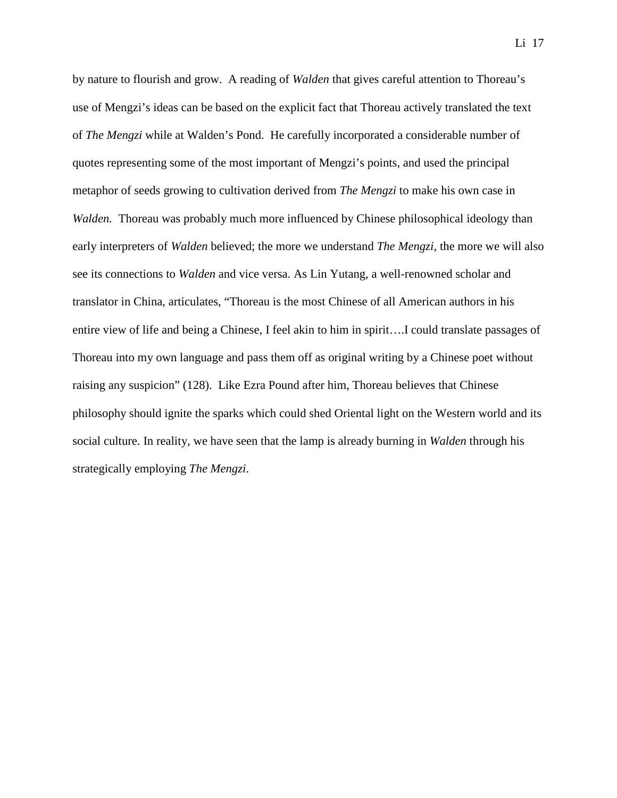by nature to flourish and grow. A reading of *Walden* that gives careful attention to Thoreau's use of Mengzi's ideas can be based on the explicit fact that Thoreau actively translated the text of *The Mengzi* while at Walden's Pond. He carefully incorporated a considerable number of quotes representing some of the most important of Mengzi's points, and used the principal metaphor of seeds growing to cultivation derived from *The Mengzi* to make his own case in *Walden.* Thoreau was probably much more influenced by Chinese philosophical ideology than early interpreters of *Walden* believed; the more we understand *The Mengzi*, the more we will also see its connections to *Walden* and vice versa. As Lin Yutang, a well-renowned scholar and translator in China, articulates, "Thoreau is the most Chinese of all American authors in his entire view of life and being a Chinese, I feel akin to him in spirit….I could translate passages of Thoreau into my own language and pass them off as original writing by a Chinese poet without raising any suspicion" (128). Like Ezra Pound after him, Thoreau believes that Chinese philosophy should ignite the sparks which could shed Oriental light on the Western world and its social culture. In reality, we have seen that the lamp is already burning in *Walden* through his strategically employing *The Mengzi*.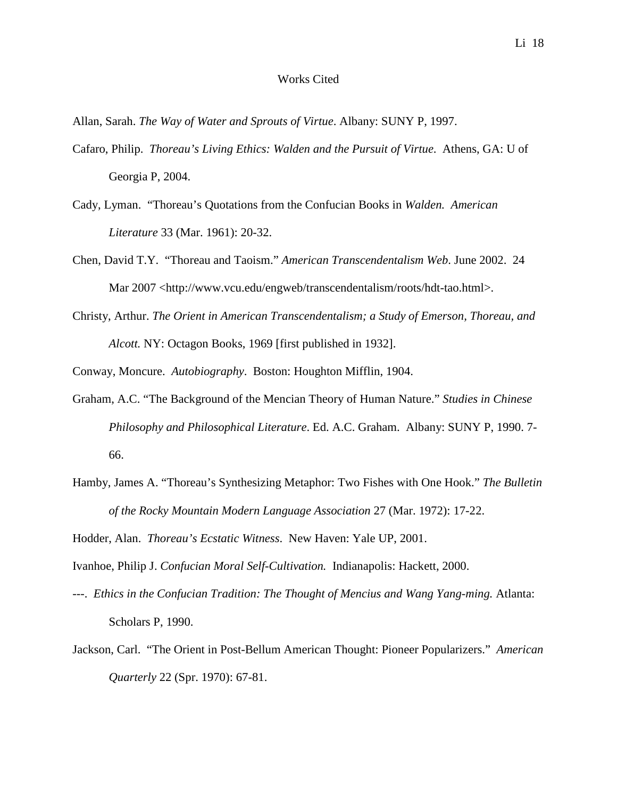## Works Cited

Allan, Sarah. *The Way of Water and Sprouts of Virtue*. Albany: SUNY P, 1997.

- Cafaro, Philip. *Thoreau's Living Ethics: Walden and the Pursuit of Virtue*. Athens, GA: U of Georgia P, 2004.
- Cady, Lyman. "Thoreau's Quotations from the Confucian Books in *Walden. American Literature* 33 (Mar. 1961): 20-32.
- Chen, David T.Y. "Thoreau and Taoism." *American Transcendentalism Web*. June 2002. 24 Mar 2007 [<http://www.vcu.edu/engweb/transcendentalism/roots/hdt-tao.html>](http://www.vcu.edu/engweb/transcendentalism/roots/hdt-tao.html).
- Christy, Arthur. *The Orient in American Transcendentalism; a Study of Emerson, Thoreau, and Alcott.* NY: Octagon Books, 1969 [first published in 1932].

Conway, Moncure. *Autobiography*. Boston: Houghton Mifflin, 1904.

- Graham, A.C. "The Background of the Mencian Theory of Human Nature." *Studies in Chinese Philosophy and Philosophical Literature*. Ed. A.C. Graham. Albany: SUNY P, 1990. 7- 66.
- Hamby, James A. "Thoreau's Synthesizing Metaphor: Two Fishes with One Hook." *The Bulletin of the Rocky Mountain Modern Language Association* 27 (Mar. 1972): 17-22.

Hodder, Alan. *Thoreau's Ecstatic Witness*. New Haven: Yale UP, 2001.

Ivanhoe, Philip J. *Confucian Moral Self-Cultivation.* Indianapolis: Hackett, 2000.

- ---. *Ethics in the Confucian Tradition: The Thought of Mencius and Wang Yang-ming.* Atlanta: Scholars P, 1990.
- Jackson, Carl. "The Orient in Post-Bellum American Thought: Pioneer Popularizers." *American Quarterly* 22 (Spr. 1970): 67-81.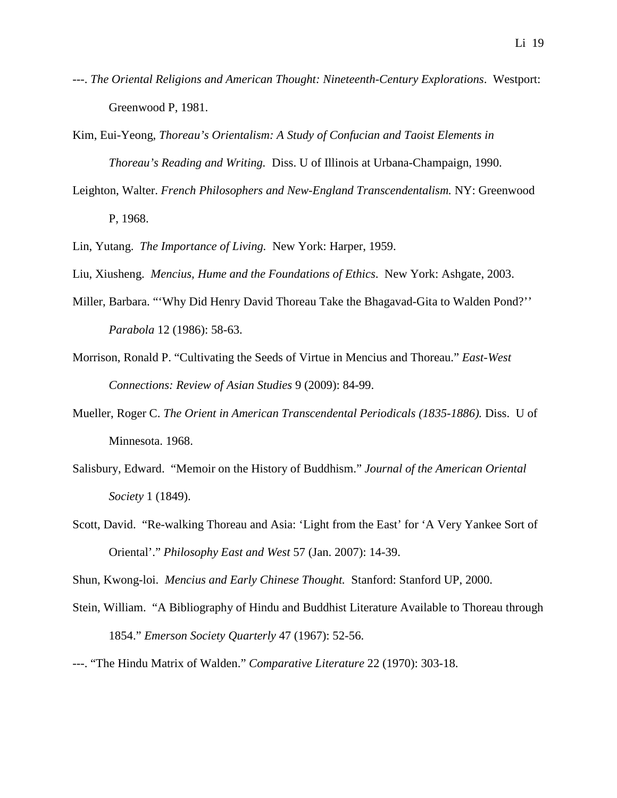- ---. *The Oriental Religions and American Thought: Nineteenth-Century Explorations*. Westport: Greenwood P, 1981.
- Kim, Eui-Yeong, *Thoreau's Orientalism: A Study of Confucian and Taoist Elements in Thoreau's Reading and Writing.* Diss. U of Illinois at Urbana-Champaign, 1990.
- Leighton, Walter. *French Philosophers and New-England Transcendentalism.* NY: Greenwood P, 1968.

Lin, Yutang. *The Importance of Living.* New York: Harper, 1959.

- Liu, Xiusheng. *Mencius, Hume and the Foundations of Ethics*. New York: Ashgate, 2003.
- Miller, Barbara. "'Why Did Henry David Thoreau Take the Bhagavad-Gita to Walden Pond?'' *Parabola* 12 (1986): 58-63.
- Morrison, Ronald P. "Cultivating the Seeds of Virtue in Mencius and Thoreau." *East-West Connections: Review of Asian Studies* 9 (2009): 84-99.
- Mueller, Roger C. *The Orient in American Transcendental Periodicals (1835-1886).* Diss. U of Minnesota. 1968.
- Salisbury, Edward. "Memoir on the History of Buddhism." *Journal of the American Oriental Society* 1 (1849).
- Scott, David. "Re-walking Thoreau and Asia: 'Light from the East' for 'A Very Yankee Sort of Oriental'." *Philosophy East and West* 57 (Jan. 2007): 14-39.

Shun, Kwong-loi. *Mencius and Early Chinese Thought.* Stanford: Stanford UP, 2000.

- Stein, William. "A Bibliography of Hindu and Buddhist Literature Available to Thoreau through 1854." *Emerson Society Quarterly* 47 (1967): 52-56.
- ---. "The Hindu Matrix of Walden." *Comparative Literature* 22 (1970): 303-18.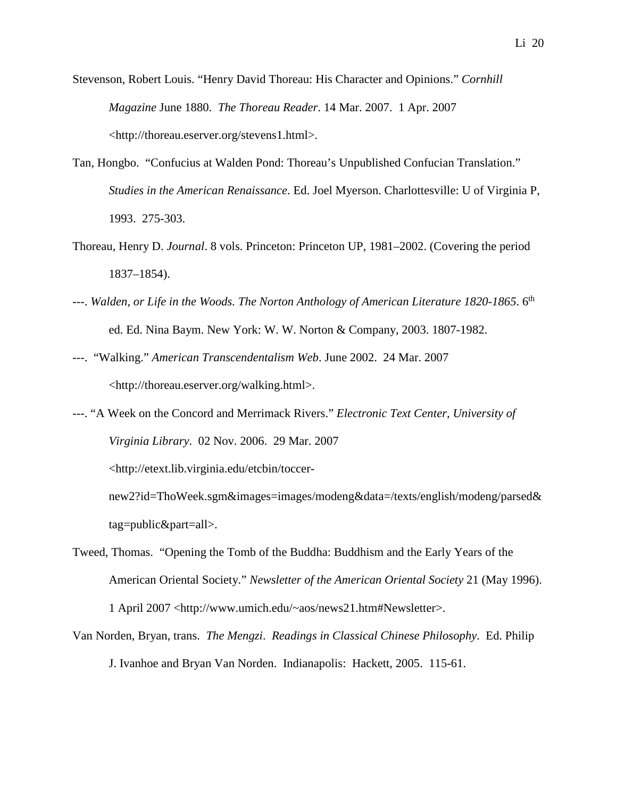Stevenson, Robert Louis. "Henry David Thoreau: His Character and Opinions." *Cornhill Magazine* June 1880. *The Thoreau Reader*. 14 Mar. 2007. 1 Apr. 2007 [<http://thoreau.eserver.org/stevens1.html>](http://thoreau.eserver.org/stevens1.html).

- Tan, Hongbo. "Confucius at Walden Pond: Thoreau's Unpublished Confucian Translation." *Studies in the American Renaissance*. Ed. Joel Myerson. Charlottesville: U of Virginia P, 1993. 275-303.
- Thoreau, Henry D. *Journal*. 8 vols. Princeton: Princeton UP, 1981–2002. (Covering the period 1837–1854).
- ---. *Walden, or Life in the Woods. The Norton Anthology of American Literature 1820-1865*. 6th ed. Ed. Nina Baym. New York: W. W. Norton & Company, 2003. 1807-1982.
- ---. "Walking." *American Transcendentalism Web*. June 2002. 24 Mar. 2007 <http://thoreau.eserver.org/walking.html>.
- ---. "A Week on the Concord and Merrimack Rivers." *Electronic Text Center, University of Virginia Library*. 02 Nov. 2006. 29 Mar. 2007

<http://etext.lib.virginia.edu/etcbin/toccer-

new2?id=ThoWeek.sgm&images=images/modeng&data=/texts/english/modeng/parsed& tag=public&part=all>.

- Tweed, Thomas. "Opening the Tomb of the Buddha: Buddhism and the Early Years of the American Oriental Society." *Newsletter of the American Oriental Society* 21 (May 1996). 1 April 2007 [<http://www.umich.edu/~aos/news21.htm#Newsletter>](http://www.umich.edu/%7Eaos/news21.htm%23Newsletter).
- Van Norden, Bryan, trans. *The Mengzi*. *Readings in Classical Chinese Philosophy*. Ed. Philip J. Ivanhoe and Bryan Van Norden. Indianapolis: Hackett, 2005. 115-61.